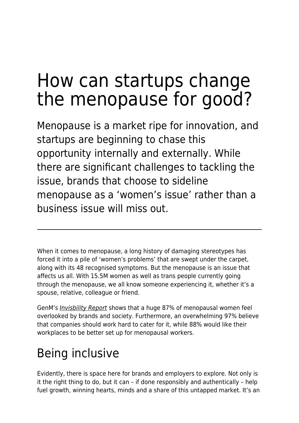# How can startups change the menopause for good?

Menopause is a market ripe for innovation, and startups are beginning to chase this opportunity internally and externally. While there are significant challenges to tackling the issue, brands that choose to sideline menopause as a 'women's issue' rather than a business issue will miss out.

When it comes to menopause, a long history of damaging stereotypes has forced it into a pile of 'women's problems' that are swept under the carpet, along with its 48 recognised symptoms. But the menopause is an issue that affects us all. With 15.5M women as well as trans people currently going through the menopause, we all know someone experiencing it, whether it's a spouse, relative, colleague or friend.

GenM's [Invisbility Report](http://gen-m.com/insight) shows that a huge 87% of menopausal women feel overlooked by brands and society. Furthermore, an overwhelming 97% believe that companies should work hard to cater for it, while 88% would like their workplaces to be better set up for menopausal workers.

## Being inclusive

Evidently, there is space here for brands and employers to explore. Not only is it the right thing to do, but it can – if done responsibly and authentically – help fuel growth, winning hearts, minds and a share of this untapped market. It's an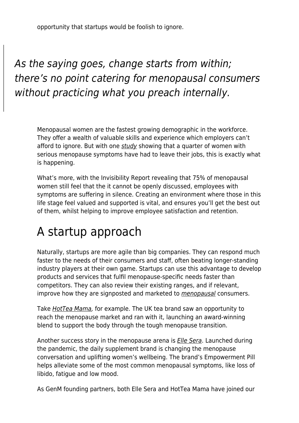opportunity that startups would be foolish to ignore.

#### As the saying goes, change starts from within; there's no point catering for menopausal consumers without practicing what you preach internally.

Menopausal women are the fastest growing demographic in the workforce. They offer a wealth of valuable skills and experience which employers can't afford to ignore. But with one [study](https://www.peoplemanagement.co.uk/news/articles/quarter-women-with-serious-menopause-symptoms-have-left-jobs%23gref) showing that a quarter of women with serious menopause symptoms have had to leave their jobs, this is exactly what is happening.

What's more, with the Invisibility Report revealing that 75% of menopausal women still feel that the it cannot be openly discussed, employees with symptoms are suffering in silence. Creating an environment where those in this life stage feel valued and supported is vital, and ensures you'll get the best out of them, whilst helping to improve employee satisfaction and retention.

### A startup approach

Naturally, startups are more agile than big companies. They can respond much faster to the needs of their consumers and staff, often beating longer-standing industry players at their own game. Startups can use this advantage to develop products and services that fulfil menopause-specific needs faster than competitors. They can also review their existing ranges, and if relevant, improve how they are signposted and marketed to *[menopausal](https://www.maddyness.com/uk/2021/07/19/bia-care-launches-virtual-clinic-to-deliver-modern-menopause-care/)* consumers.

Take *[HotTea Mama](https://www.hotteamama.com/)*, for example. The UK tea brand saw an opportunity to reach the menopause market and ran with it, launching an award-winning blend to support the body through the tough menopause transition.

Another success story in the menopause arena is **[Elle Sera](https://elle-sera.com/).** Launched during the pandemic, the daily supplement brand is changing the menopause conversation and uplifting women's wellbeing. The brand's Empowerment Pill helps alleviate some of the most common menopausal symptoms, like loss of libido, fatigue and low mood.

As GenM founding partners, both Elle Sera and HotTea Mama have joined our